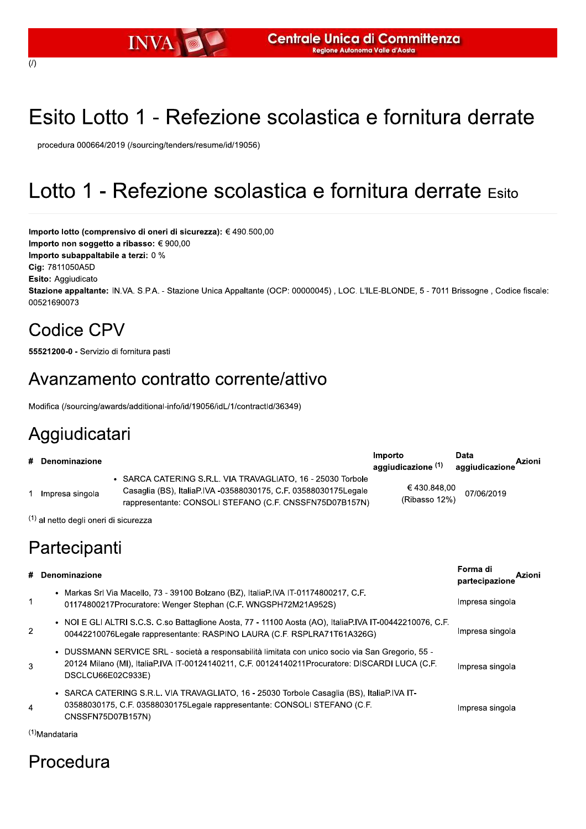# Esito Lotto 1 - Refezione scolastica e fornitura derrate

procedura 000664/2019 (/sourcing/tenders/resume/id/19056)

## Lotto 1 - Refezione scolastica e fornitura derrate Esito

Importo lotto (comprensivo di oneri di sicurezza): € 490.500,00 Importo non soggetto a ribasso: € 900,00 Importo subappaltabile a terzi: 0 % Cig: 7811050A5D Esito: Aggiudicato Stazione appaltante: IN.VA. S.P.A. - Stazione Unica Appaltante (OCP: 00000045), LOC. L'ILE-BLONDE, 5 - 7011 Brissogne, Codice fiscale: 00521690073

#### Codice CPV

55521200-0 - Servizio di fornitura pasti

#### Avanzamento contratto corrente/attivo

Modifica (/sourcing/awards/additional-info/id/19056/idL/1/contractId/36349)

### Aggiudicatari

| # Denominazione |                                                                                                                                                                                           | Importo<br>aggiudicazione (1) | Data<br>aggiudicazione | Azioni |
|-----------------|-------------------------------------------------------------------------------------------------------------------------------------------------------------------------------------------|-------------------------------|------------------------|--------|
| Impresa singola | • SARCA CATERING S.R.L. VIA TRAVAGLIATO, 16 - 25030 Torbole<br>Casaglia (BS), ItaliaP.IVA -03588030175, C.F. 03588030175Legale<br>rappresentante: CONSOLI STEFANO (C.F. CNSSFN75D07B157N) | € 430.848,00<br>(Ribasso 12%) | 07/06/2019             |        |

 $(1)$  al netto degli oneri di sicurezza

### Partecipanti

|                | # Denominazione                                                                                                                                                                                                           |                 | Azioni<br>partecipazione |
|----------------|---------------------------------------------------------------------------------------------------------------------------------------------------------------------------------------------------------------------------|-----------------|--------------------------|
| $\mathbf{1}$   | • Markas Srl Via Macello, 73 - 39100 Bolzano (BZ), ItaliaP.IVA IT-01174800217, C.F.<br>01174800217Procuratore: Wenger Stephan (C.F. WNGSPH72M21A952S)                                                                     | Impresa singola |                          |
| $\overline{2}$ | • NOI E GLI ALTRI S.C.S. C.so Battaglione Aosta, 77 - 11100 Aosta (AO), ItaliaP.IVA IT-00442210076, C.F.<br>00442210076Legale rappresentante: RASPINO LAURA (C.F. RSPLRA71T61A326G)                                       | Impresa singola |                          |
| 3              | · DUSSMANN SERVICE SRL - società a responsabilità limitata con unico socio via San Gregorio, 55 -<br>20124 Milano (MI), ItaliaP.IVA IT-00124140211, C.F. 00124140211Procuratore: DISCARDI LUCA (C.F.<br>DSCLCU66E02C933E) | Impresa singola |                          |
| $\overline{4}$ | • SARCA CATERING S.R.L. VIA TRAVAGLIATO, 16 - 25030 Torbole Casaglia (BS), ItaliaP.IVA IT-<br>03588030175, C.F. 03588030175Legale rappresentante: CONSOLI STEFANO (C.F.<br>CNSSFN75D07B157N)                              | Impresa singola |                          |
| $\lambda$      |                                                                                                                                                                                                                           |                 |                          |

<sup>(1)</sup>Mandataria

#### Procedura